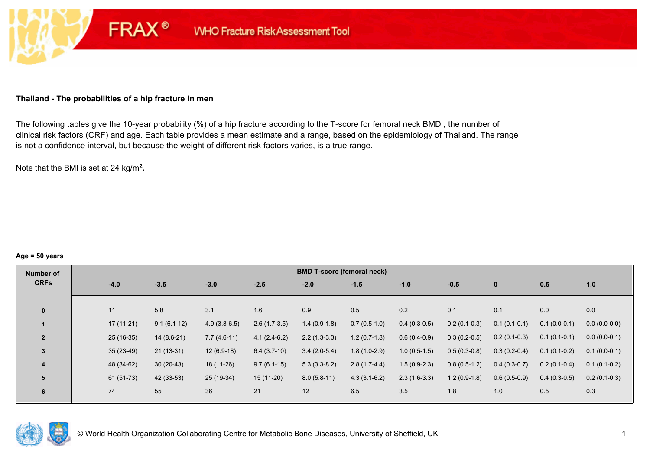## **Thailand - The probabilities of a hip fracture in men**

**FRAX®** 

The following tables give the 10-year probability (%) of a hip fracture according to the T-score for femoral neck BMD , the number of clinical risk factors (CRF) and age. Each table provides a mean estimate and a range, based on the epidemiology of Thailand. The range is not a confidence interval, but because the weight of different risk factors varies, is a true range.

Note that the BMI is set at 24 kg/m²**.** 

#### **Age = 50 years**

| Number of      |             |               |                |                | <b>BMD T-score (femoral neck)</b> |                |                |                |                |                |                |
|----------------|-------------|---------------|----------------|----------------|-----------------------------------|----------------|----------------|----------------|----------------|----------------|----------------|
| <b>CRFs</b>    | $-4.0$      | $-3.5$        | $-3.0$         | $-2.5$         | $-2.0$                            | $-1.5$         | $-1.0$         | $-0.5$         | $\mathbf{0}$   | 0.5            | 1.0            |
|                |             |               |                |                |                                   |                |                |                |                |                |                |
| $\bf{0}$       | 11          | 5.8           | 3.1            | 1.6            | 0.9                               | 0.5            | 0.2            | 0.1            | 0.1            | 0.0            | 0.0            |
|                | $17(11-21)$ | $9.1(6.1-12)$ | $4.9(3.3-6.5)$ | $2.6(1.7-3.5)$ | $1.4(0.9-1.8)$                    | $0.7(0.5-1.0)$ | $0.4(0.3-0.5)$ | $0.2(0.1-0.3)$ | $0.1(0.1-0.1)$ | $0.1(0.0-0.1)$ | $0.0(0.0-0.0)$ |
| $\overline{2}$ | $25(16-35)$ | $14(8.6-21)$  | $7.7(4.6-11)$  | $4.1(2.4-6.2)$ | $2.2(1.3-3.3)$                    | $1.2(0.7-1.8)$ | $0.6(0.4-0.9)$ | $0.3(0.2-0.5)$ | $0.2(0.1-0.3)$ | $0.1(0.1-0.1)$ | $0.0(0.0-0.1)$ |
| 3              | $35(23-49)$ | $21(13-31)$   | $12(6.9-18)$   | $6.4(3.7-10)$  | $3.4(2.0-5.4)$                    | $1.8(1.0-2.9)$ | $1.0(0.5-1.5)$ | $0.5(0.3-0.8)$ | $0.3(0.2-0.4)$ | $0.1(0.1-0.2)$ | $0.1(0.0-0.1)$ |
| 4              | 48 (34-62)  | $30(20-43)$   | $18(11-26)$    | $9.7(6.1-15)$  | $5.3(3.3-8.2)$                    | $2.8(1.7-4.4)$ | $1.5(0.9-2.3)$ | $0.8(0.5-1.2)$ | $0.4(0.3-0.7)$ | $0.2(0.1-0.4)$ | $0.1(0.1-0.2)$ |
| 5              | $61(51-73)$ | 42 (33-53)    | 25 (19-34)     | $15(11-20)$    | $8.0(5.8-11)$                     | $4.3(3.1-6.2)$ | $2.3(1.6-3.3)$ | $1.2(0.9-1.8)$ | $0.6(0.5-0.9)$ | $0.4(0.3-0.5)$ | $0.2(0.1-0.3)$ |
| 6              | 74          | 55            | 36             | 21             | 12                                | 6.5            | 3.5            | 1.8            | 1.0            | 0.5            | 0.3            |

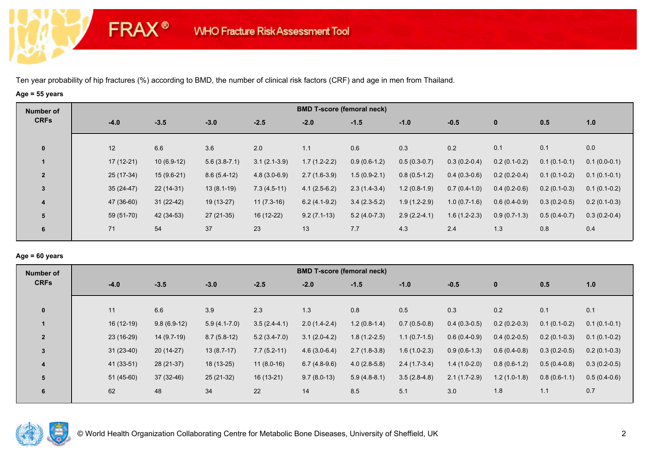**FRAX®** 

## **Age = 55 years**

| Number of      |             |              |                |                | <b>BMD T-score (femoral neck)</b> |                |                |                |                |                |                |
|----------------|-------------|--------------|----------------|----------------|-----------------------------------|----------------|----------------|----------------|----------------|----------------|----------------|
| <b>CRFs</b>    | $-4.0$      | $-3.5$       | $-3.0$         | $-2.5$         | $-2.0$                            | $-1.5$         | $-1.0$         | $-0.5$         | $\bf{0}$       | 0.5            | 1.0            |
| $\mathbf 0$    | 12          | 6.6          | 3.6            | 2.0            | 1.1                               | 0.6            | 0.3            | 0.2            | 0.1            | 0.1            | 0.0            |
|                | $17(12-21)$ | $10(6.9-12)$ | $5.6(3.8-7.1)$ | $3.1(2.1-3.9)$ | $1.7(1.2-2.2)$                    | $0.9(0.6-1.2)$ | $0.5(0.3-0.7)$ | $0.3(0.2-0.4)$ | $0.2(0.1-0.2)$ | $0.1(0.1-0.1)$ | $0.1(0.0-0.1)$ |
| $\overline{2}$ | 25 (17-34)  | $15(9.6-21)$ | $8.6(5.4-12)$  | $4.8(3.0-6.9)$ | $2.7(1.6-3.9)$                    | $1.5(0.9-2.1)$ | $0.8(0.5-1.2)$ | $0.4(0.3-0.6)$ | $0.2(0.2-0.4)$ | $0.1(0.1-0.2)$ | $0.1(0.1-0.1)$ |
| 3              | $35(24-47)$ | $22(14-31)$  | $13(8.1-19)$   | $7.3(4.5-11)$  | $4.1(2.5-6.2)$                    | $2.3(1.4-3.4)$ | $1.2(0.8-1.9)$ | $0.7(0.4-1.0)$ | $0.4(0.2-0.6)$ | $0.2(0.1-0.3)$ | $0.1(0.1-0.2)$ |
| 4              | 47 (36-60)  | $31(22-42)$  | 19 (13-27)     | $11(7.3-16)$   | $6.2(4.1-9.2)$                    | $3.4(2.3-5.2)$ | $1.9(1.2-2.9)$ | $1.0(0.7-1.6)$ | $0.6(0.4-0.9)$ | $0.3(0.2-0.5)$ | $0.2(0.1-0.3)$ |
| 5              | 59 (51-70)  | 42 (34-53)   | $27(21-35)$    | 16 (12-22)     | $9.2(7.1-13)$                     | $5.2(4.0-7.3)$ | $2.9(2.2-4.1)$ | $1.6(1.2-2.3)$ | $0.9(0.7-1.3)$ | $0.5(0.4-0.7)$ | $0.3(0.2-0.4)$ |
| 6              | 71          | 54           | 37             | 23             | 13                                | 7.7            | 4.3            | 2.4            | 1.3            | 0.8            | 0.4            |

## **Age = 60 years**

| Number of      |             |               |                |                | <b>BMD T-score (femoral neck)</b> |                |                |                |                |                |                |
|----------------|-------------|---------------|----------------|----------------|-----------------------------------|----------------|----------------|----------------|----------------|----------------|----------------|
| <b>CRFs</b>    | $-4.0$      | $-3.5$        | $-3.0$         | $-2.5$         | $-2.0$                            | $-1.5$         | $-1.0$         | $-0.5$         | $\mathbf{0}$   | 0.5            | 1.0            |
|                |             |               |                |                |                                   |                |                |                |                |                |                |
| $\mathbf 0$    | 11          | 6.6           | 3.9            | 2.3            | 1.3                               | 0.8            | 0.5            | 0.3            | 0.2            | 0.1            | 0.1            |
|                | $16(12-19)$ | $9.8(6.9-12)$ | $5.9(4.1-7.0)$ | $3.5(2.4-4.1)$ | $2.0(1.4-2.4)$                    | $1.2(0.8-1.4)$ | $0.7(0.5-0.8)$ | $0.4(0.3-0.5)$ | $0.2(0.2-0.3)$ | $0.1(0.1-0.2)$ | $0.1(0.1-0.1)$ |
| $\overline{2}$ | $23(16-29)$ | 14 (9.7-19)   | $8.7(5.8-12)$  | $5.2(3.4-7.0)$ | $3.1(2.0-4.2)$                    | $1.8(1.2-2.5)$ | $1.1(0.7-1.5)$ | $0.6(0.4-0.9)$ | $0.4(0.2-0.5)$ | $0.2(0.1-0.3)$ | $0.1(0.1-0.2)$ |
| 3              | $31(23-40)$ | $20(14-27)$   | $13(8.7-17)$   | $7.7(5.2-11)$  | $4.6(3.0-6.4)$                    | $2.7(1.8-3.8)$ | $1.6(1.0-2.3)$ | $0.9(0.6-1.3)$ | $0.6(0.4-0.8)$ | $0.3(0.2-0.5)$ | $0.2(0.1-0.3)$ |
| 4              | 41 (33-51)  | 28 (21-37)    | 18 (13-25)     | $11(8.0-16)$   | $6.7(4.8-9.6)$                    | $4.0(2.8-5.8)$ | $2.4(1.7-3.4)$ | $1.4(1.0-2.0)$ | $0.8(0.6-1.2)$ | $0.5(0.4-0.8)$ | $0.3(0.2-0.5)$ |
| 5              | $51(45-60)$ | $37(32-46)$   | $25(21-32)$    | $16(13-21)$    | $9.7(8.0-13)$                     | $5.9(4.8-8.1)$ | $3.5(2.8-4.8)$ | $2.1(1.7-2.9)$ | $1.2(1.0-1.8)$ | $0.8(0.6-1.1)$ | $0.5(0.4-0.6)$ |
| 6              | 62          | 48            | 34             | 22             | 14                                | 8.5            | 5.1            | 3.0            | 1.8            | 1.1            | 0.7            |

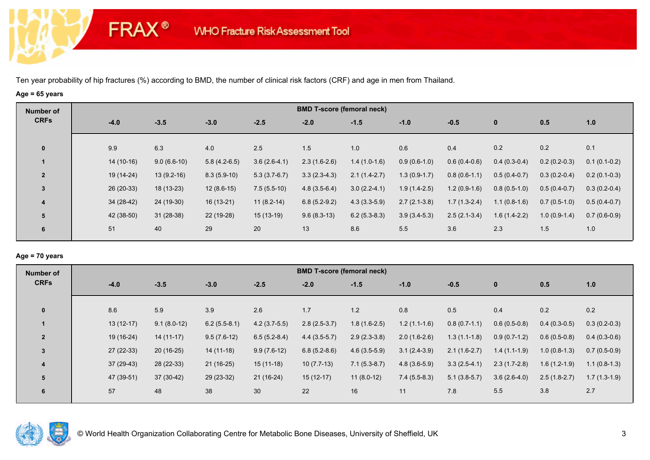**FRAX®** 

# **Age = 65 years**

| Number of               |             |               |                |                | <b>BMD T-score (femoral neck)</b> |                |                |                |                |                |                |
|-------------------------|-------------|---------------|----------------|----------------|-----------------------------------|----------------|----------------|----------------|----------------|----------------|----------------|
| <b>CRFs</b>             | $-4.0$      | $-3.5$        | $-3.0$         | $-2.5$         | $-2.0$                            | $-1.5$         | $-1.0$         | $-0.5$         | $\bf{0}$       | 0.5            | 1.0            |
| $\bf{0}$                | 9.9         | 6.3           | 4.0            | 2.5            | 1.5                               | 1.0            | 0.6            | 0.4            | 0.2            | 0.2            | 0.1            |
|                         | $14(10-16)$ | $9.0(6.6-10)$ | $5.8(4.2-6.5)$ | $3.6(2.6-4.1)$ | $2.3(1.6-2.6)$                    | $1.4(1.0-1.6)$ | $0.9(0.6-1.0)$ | $0.6(0.4-0.6)$ | $0.4(0.3-0.4)$ | $0.2(0.2-0.3)$ | $0.1(0.1-0.2)$ |
| $\overline{2}$          | 19 (14-24)  | $13(9.2-16)$  | $8.3(5.9-10)$  | $5.3(3.7-6.7)$ | $3.3(2.3-4.3)$                    | $2.1(1.4-2.7)$ | $1.3(0.9-1.7)$ | $0.8(0.6-1.1)$ | $0.5(0.4-0.7)$ | $0.3(0.2-0.4)$ | $0.2(0.1-0.3)$ |
| $\mathbf{3}$            | 26 (20-33)  | 18 (13-23)    | $12(8.6-15)$   | $7.5(5.5-10)$  | $4.8(3.5-6.4)$                    | $3.0(2.2-4.1)$ | $1.9(1.4-2.5)$ | $1.2(0.9-1.6)$ | $0.8(0.5-1.0)$ | $0.5(0.4-0.7)$ | $0.3(0.2-0.4)$ |
| $\overline{\mathbf{4}}$ | $34(28-42)$ | 24 (19-30)    | $16(13-21)$    | $11(8.2-14)$   | $6.8(5.2-9.2)$                    | $4.3(3.3-5.9)$ | $2.7(2.1-3.8)$ | $1.7(1.3-2.4)$ | $1.1(0.8-1.6)$ | $0.7(0.5-1.0)$ | $0.5(0.4-0.7)$ |
| 5                       | 42 (38-50)  | $31(28-38)$   | 22 (19-28)     | $15(13-19)$    | $9.6(8.3-13)$                     | $6.2(5.3-8.3)$ | $3.9(3.4-5.3)$ | $2.5(2.1-3.4)$ | $1.6(1.4-2.2)$ | $1.0(0.9-1.4)$ | $0.7(0.6-0.9)$ |
| 6                       | 51          | 40            | 29             | 20             | 13                                | 8.6            | 5.5            | 3.6            | 2.3            | 1.5            | 1.0            |

## **Age = 70 years**

| Number of      |             |               |                |                | <b>BMD T-score (femoral neck)</b> |                |                |                |                |                |                |
|----------------|-------------|---------------|----------------|----------------|-----------------------------------|----------------|----------------|----------------|----------------|----------------|----------------|
| <b>CRFs</b>    | $-4.0$      | $-3.5$        | $-3.0$         | $-2.5$         | $-2.0$                            | $-1.5$         | $-1.0$         | $-0.5$         | $\mathbf{0}$   | 0.5            | 1.0            |
| $\mathbf{0}$   | 8.6         | 5.9           | 3.9            | 2.6            | 1.7                               | 1.2            | 0.8            | 0.5            | 0.4            | 0.2            | 0.2            |
|                | $13(12-17)$ | $9.1(8.0-12)$ | $6.2(5.5-8.1)$ | $4.2(3.7-5.5)$ | $2.8(2.5-3.7)$                    | $1.8(1.6-2.5)$ | $1.2(1.1-1.6)$ | $0.8(0.7-1.1)$ | $0.6(0.5-0.8)$ | $0.4(0.3-0.5)$ | $0.3(0.2-0.3)$ |
| $\overline{2}$ | 19 (16-24)  | $14(11-17)$   | $9.5(7.6-12)$  | $6.5(5.2-8.4)$ | $4.4(3.5-5.7)$                    | $2.9(2.3-3.8)$ | $2.0(1.6-2.6)$ | $1.3(1.1-1.8)$ | $0.9(0.7-1.2)$ | $0.6(0.5-0.8)$ | $0.4(0.3-0.6)$ |
| 3              | $27(22-33)$ | $20(16-25)$   | 14 (11-18)     | $9.9(7.6-12)$  | $6.8(5.2-8.6)$                    | $4.6(3.5-5.9)$ | $3.1(2.4-3.9)$ | $2.1(1.6-2.7)$ | $1.4(1.1-1.9)$ | $1.0(0.8-1.3)$ | $0.7(0.5-0.9)$ |
| 4              | $37(29-43)$ | 28 (22-33)    | $21(16-25)$    | $15(11-18)$    | $10(7.7-13)$                      | $7.1(5.3-8.7)$ | $4.8(3.6-5.9)$ | $3.3(2.5-4.1)$ | $2.3(1.7-2.8)$ | $1.6(1.2-1.9)$ | $1.1(0.8-1.3)$ |
| 5              | 47 (39-51)  | 37 (30-42)    | $29(23-32)$    | $21(16-24)$    | $15(12-17)$                       | $11(8.0-12)$   | $7.4(5.5-8.3)$ | $5.1(3.8-5.7)$ | $3.6(2.6-4.0)$ | $2.5(1.8-2.7)$ | $1.7(1.3-1.9)$ |
| 6              | 57          | 48            | 38             | 30             | 22                                | 16             | 11             | 7.8            | 5.5            | 3.8            | 2.7            |

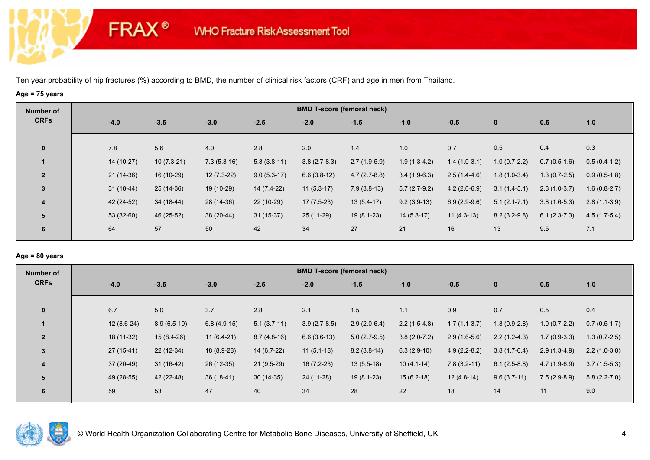**FRAX®** 

## **Age = 75 years**

| Number of               |             |              |               |               |                | <b>BMD T-score (femoral neck)</b> |                |                |                  |                |                |
|-------------------------|-------------|--------------|---------------|---------------|----------------|-----------------------------------|----------------|----------------|------------------|----------------|----------------|
| <b>CRFs</b>             | $-4.0$      | $-3.5$       | $-3.0$        | $-2.5$        | $-2.0$         | $-1.5$                            | $-1.0$         | $-0.5$         | $\mathbf{0}$     | 0.5            | 1.0            |
| $\mathbf 0$             | 7.8         | 5.6          | 4.0           | 2.8           | 2.0            | 1.4                               | 1.0            | 0.7            | 0.5              | 0.4            | 0.3            |
|                         | 14 (10-27)  | $10(7.3-21)$ | $7.3(5.3-16)$ | $5.3(3.8-11)$ | $3.8(2.7-8.3)$ | $2.7(1.9-5.9)$                    | $1.9(1.3-4.2)$ | $1.4(1.0-3.1)$ | $1.0(0.7-2.2)$   | $0.7(0.5-1.6)$ | $0.5(0.4-1.2)$ |
| $\overline{2}$          | $21(14-36)$ | 16 (10-29)   | $12(7.3-22)$  | $9.0(5.3-17)$ | $6.6(3.8-12)$  | $4.7(2.7-8.8)$                    | $3.4(1.9-6.3)$ | $2.5(1.4-4.6)$ | $1.8(1.0-3.4)$   | $1.3(0.7-2.5)$ | $0.9(0.5-1.8)$ |
| $\mathbf{3}$            | $31(18-44)$ | 25 (14-36)   | 19 (10-29)    | 14 (7.4-22)   | $11(5.3-17)$   | $7.9(3.8-13)$                     | $5.7(2.7-9.2)$ | $4.2(2.0-6.9)$ | $3.1(1.4-5.1)$   | $2.3(1.0-3.7)$ | $1.6(0.8-2.7)$ |
| $\overline{\mathbf{4}}$ | 42 (24-52)  | 34 (18-44)   | 28 (14-36)    | $22(10-29)$   | $17(7.5-23)$   | $13(5.4-17)$                      | $9.2(3.9-13)$  | $6.9(2.9-9.6)$ | $5.1(2.1 - 7.1)$ | $3.8(1.6-5.3)$ | $2.8(1.1-3.9)$ |
| 5                       | 53 (32-60)  | 46 (25-52)   | 38 (20-44)    | $31(15-37)$   | 25 (11-29)     | $19(8.1-23)$                      | $14(5.8-17)$   | $11(4.3-13)$   | $8.2(3.2-9.8)$   | $6.1(2.3-7.3)$ | $4.5(1.7-5.4)$ |
| 6                       | 64          | 57           | 50            | 42            | 34             | 27                                | 21             | 16             | 13               | 9.5            | 7.1            |
|                         |             |              |               |               |                |                                   |                |                |                  |                |                |

## **Age = 80 years**

| Number of      |     |              |               |               |               | <b>BMD T-score (femoral neck)</b> |                |                |                |                |                |                |
|----------------|-----|--------------|---------------|---------------|---------------|-----------------------------------|----------------|----------------|----------------|----------------|----------------|----------------|
| <b>CRFs</b>    |     | $-4.0$       | $-3.5$        | $-3.0$        | $-2.5$        | $-2.0$                            | $-1.5$         | $-1.0$         | $-0.5$         | $\mathbf{0}$   | 0.5            | 1.0            |
| $\mathbf{0}$   | 6.7 |              | 5.0           | 3.7           | 2.8           | 2.1                               | 1.5            | 1.1            | 0.9            | 0.7            | 0.5            | 0.4            |
|                |     | $12(8.6-24)$ | $8.9(6.5-19)$ | $6.8(4.9-15)$ | $5.1(3.7-11)$ | $3.9(2.7-8.5)$                    | $2.9(2.0-6.4)$ | $2.2(1.5-4.8)$ | $1.7(1.1-3.7)$ | $1.3(0.9-2.8)$ | $1.0(0.7-2.2)$ | $0.7(0.5-1.7)$ |
| $\overline{2}$ |     | 18 (11-32)   | $15(8.4-26)$  | $11(6.4-21)$  | $8.7(4.8-16)$ | $6.6(3.6-13)$                     | $5.0(2.7-9.5)$ | $3.8(2.0-7.2)$ | $2.9(1.6-5.6)$ | $2.2(1.2-4.3)$ | $1.7(0.9-3.3)$ | $1.3(0.7-2.5)$ |
| $\overline{3}$ |     | 27 (15-41)   | $22(12-34)$   | 18 (8.9-28)   | $14(6.7-22)$  | $11(5.1-18)$                      | $8.2(3.8-14)$  | $6.3(2.9-10)$  | $4.9(2.2-8.2)$ | $3.8(1.7-6.4)$ | $2.9(1.3-4.9)$ | $2.2(1.0-3.8)$ |
| 4              |     | $37(20-49)$  | $31(16-42)$   | 26 (12-35)    | $21(9.5-29)$  | 16 (7.2-23)                       | $13(5.5-18)$   | $10(4.1-14)$   | $7.8(3.2-11)$  | $6.1(2.5-8.8)$ | $4.7(1.9-6.9)$ | $3.7(1.5-5.3)$ |
| 5              |     | 49 (28-55)   | 42 (22-48)    | $36(18-41)$   | $30(14-35)$   | 24 (11-28)                        | $19(8.1-23)$   | $15(6.2-18)$   | $12(4.8-14)$   | $9.6(3.7-11)$  | $7.5(2.9-8.9)$ | $5.8(2.2-7.0)$ |
| 6              | 59  |              | 53            | 47            | 40            | 34                                | 28             | 22             | 18             | 14             | 11             | 9.0            |